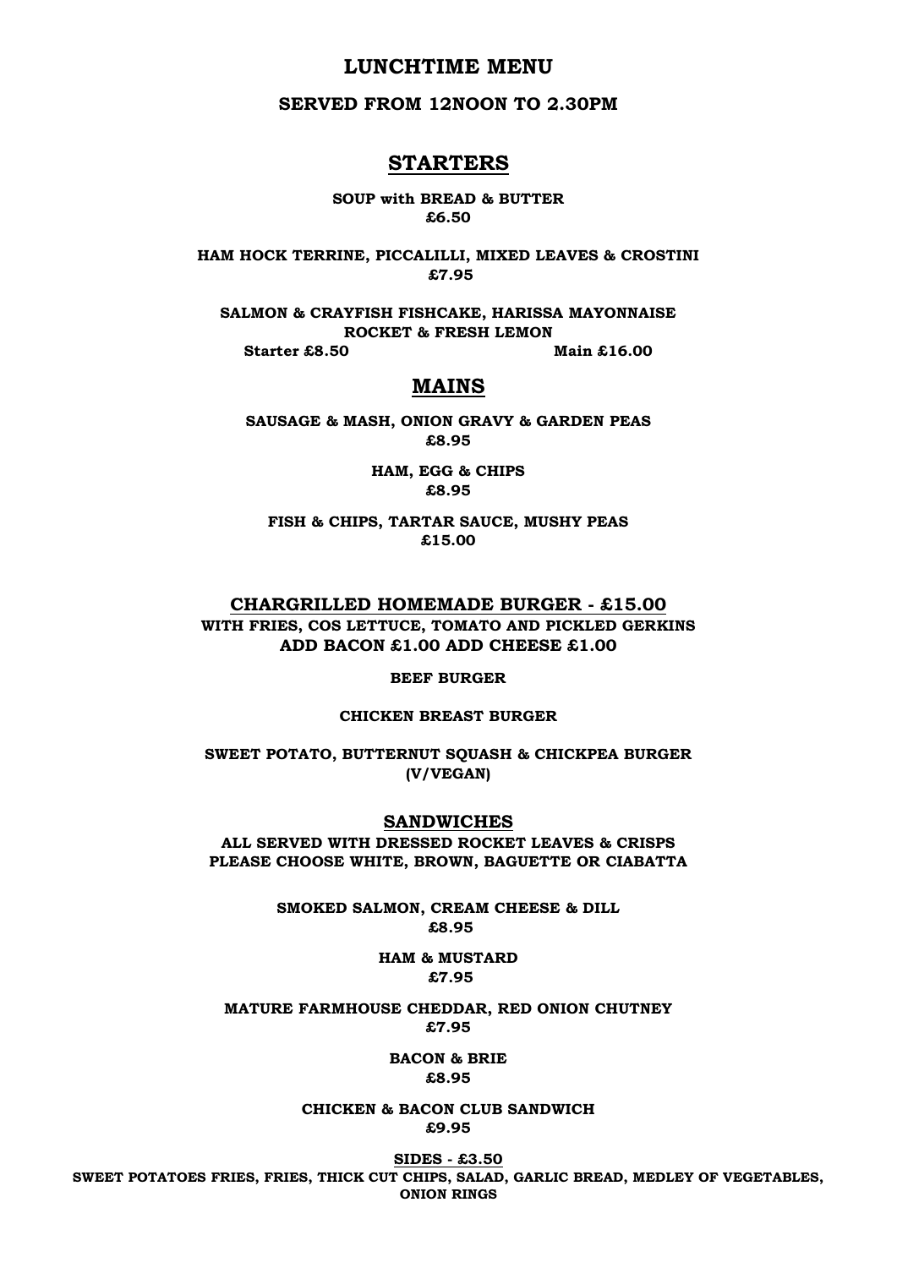## **LUNCHTIME MENU**

## **SERVED FROM 12NOON TO 2.30PM**

## **STARTERS**

**SOUP with BREAD & BUTTER £6.50**

**HAM HOCK TERRINE, PICCALILLI, MIXED LEAVES & CROSTINI £7.95**

**SALMON & CRAYFISH FISHCAKE, HARISSA MAYONNAISE ROCKET & FRESH LEMON**

**Starter £8.50** Main £16.00

# **MAINS**

**SAUSAGE & MASH, ONION GRAVY & GARDEN PEAS £8.95**

> **HAM, EGG & CHIPS £8.95**

**FISH & CHIPS, TARTAR SAUCE, MUSHY PEAS £15.00**

## **CHARGRILLED HOMEMADE BURGER - £15.00 WITH FRIES, COS LETTUCE, TOMATO AND PICKLED GERKINS ADD BACON £1.00 ADD CHEESE £1.00**

**BEEF BURGER**

#### **CHICKEN BREAST BURGER**

**SWEET POTATO, BUTTERNUT SQUASH & CHICKPEA BURGER (V/VEGAN)**

#### **SANDWICHES**

**ALL SERVED WITH DRESSED ROCKET LEAVES & CRISPS PLEASE CHOOSE WHITE, BROWN, BAGUETTE OR CIABATTA**

> **SMOKED SALMON, CREAM CHEESE & DILL £8.95**

> > **HAM & MUSTARD £7.95**

**MATURE FARMHOUSE CHEDDAR, RED ONION CHUTNEY £7.95**

> **BACON & BRIE £8.95**

**CHICKEN & BACON CLUB SANDWICH £9.95**

**SIDES - £3.50 SWEET POTATOES FRIES, FRIES, THICK CUT CHIPS, SALAD, GARLIC BREAD, MEDLEY OF VEGETABLES, ONION RINGS**